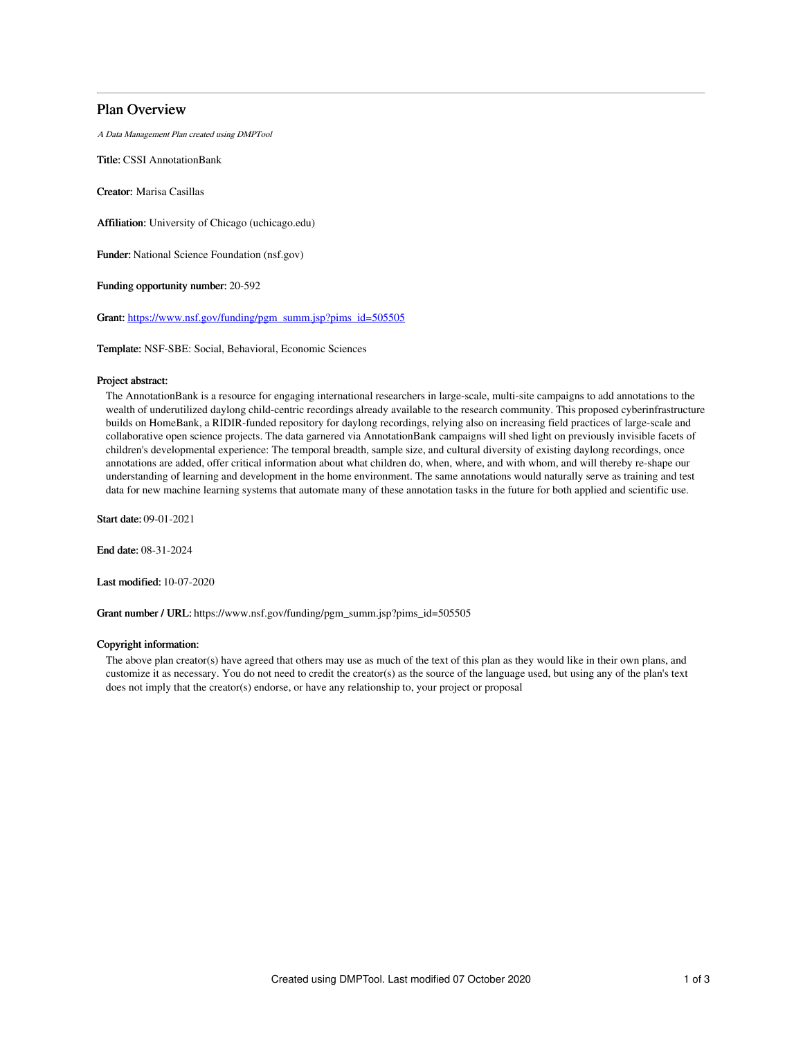# Plan Overview

A Data Management Plan created using DMPTool

Title: CSSI AnnotationBank

Creator: Marisa Casillas

Affiliation: University of Chicago (uchicago.edu)

Funder: National Science Foundation (nsf.gov)

Funding opportunity number: 20-592

Grant: [https://www.nsf.gov/funding/pgm\\_summ.jsp?pims\\_id=505505](https://www.nsf.gov/funding/pgm_summ.jsp?pims_id=505505)

Template: NSF-SBE: Social, Behavioral, Economic Sciences

# Project abstract:

The AnnotationBank is a resource for engaging international researchers in large-scale, multi-site campaigns to add annotations to the wealth of underutilized daylong child-centric recordings already available to the research community. This proposed cyberinfrastructure builds on HomeBank, a RIDIR-funded repository for daylong recordings, relying also on increasing field practices of large-scale and collaborative open science projects. The data garnered via AnnotationBank campaigns will shed light on previously invisible facets of children's developmental experience: The temporal breadth, sample size, and cultural diversity of existing daylong recordings, once annotations are added, offer critical information about what children do, when, where, and with whom, and will thereby re-shape our understanding of learning and development in the home environment. The same annotations would naturally serve as training and test data for new machine learning systems that automate many of these annotation tasks in the future for both applied and scientific use.

Start date: 09-01-2021

End date: 08-31-2024

Last modified: 10-07-2020

Grant number / URL: https://www.nsf.gov/funding/pgm\_summ.jsp?pims\_id=505505

## Copyright information:

The above plan creator(s) have agreed that others may use as much of the text of this plan as they would like in their own plans, and customize it as necessary. You do not need to credit the creator(s) as the source of the language used, but using any of the plan's text does not imply that the creator(s) endorse, or have any relationship to, your project or proposal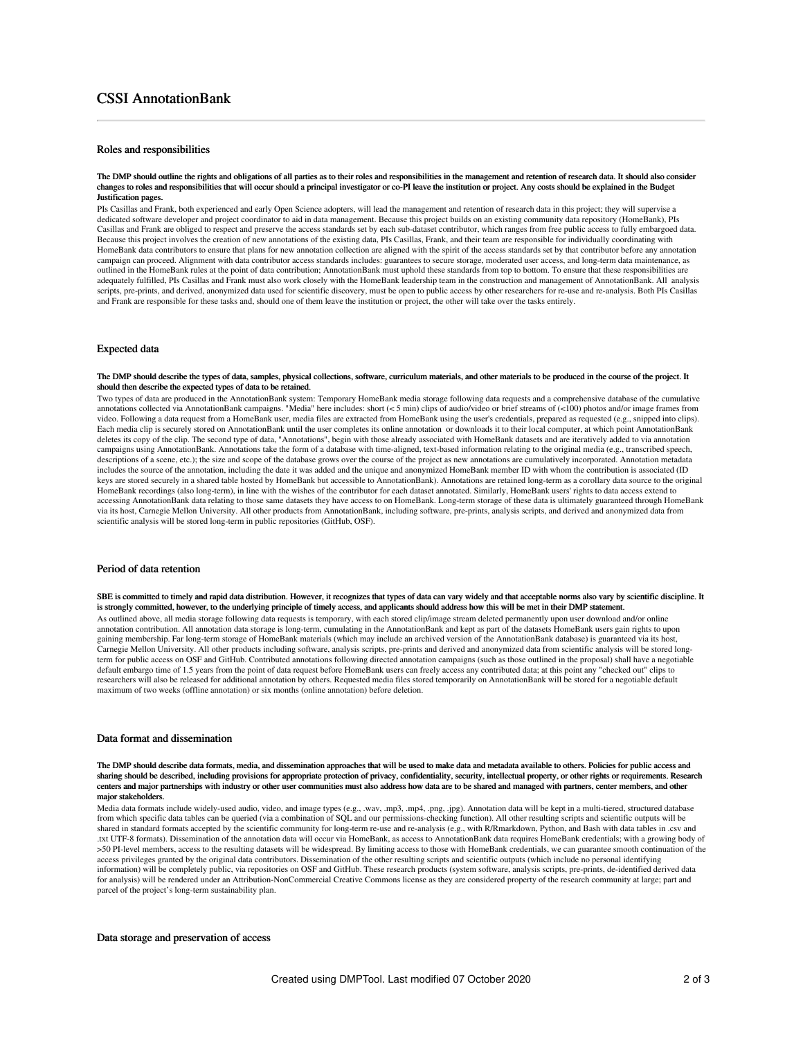# Roles and responsibilities

#### The DMP should outline the rights and obligations of all parties as to their roles and responsibilities in the management and retention of research data. It should also consider changes to roles and responsibilities that will occur should a principal investigator or co-PI leave the institution or project. Any costs should be explained in the Budget Justification pages.

PIs Casillas and Frank, both experienced and early Open Science adopters, will lead the management and retention of research data in this project; they will supervise a dedicated software developer and project coordinator to aid in data management. Because this project builds on an existing community data repository (HomeBank), PIs Casillas and Frank are obliged to respect and preserve the access standards set by each sub-dataset contributor, which ranges from free public access to fully embargoed data. Because this project involves the creation of new annotations of the existing data, PIs Casillas, Frank, and their team are responsible for individually coordinating with HomeBank data contributors to ensure that plans for new annotation collection are aligned with the spirit of the access standards set by that contributor before any annotation campaign can proceed. Alignment with data contributor access standards includes: guarantees to secure storage, moderated user access, and long-term data maintenance, as outlined in the HomeBank rules at the point of data contribution; AnnotationBank must uphold these standards from top to bottom. To ensure that these responsibilities are adequately fulfilled, PIs Casillas and Frank must also work closely with the HomeBank leadership team in the construction and management of AnnotationBank. All analysis scripts, pre-prints, and derived, anonymized data used for scientific discovery, must be open to public access by other researchers for re-use and re-analysis. Both PIs Casillas and Frank are responsible for these tasks and, should one of them leave the institution or project, the other will take over the tasks entirely.

### Expected data

#### The DMP should describe the types of data, samples, physical collections, software, curriculum materials, and other materials to be produced in the course of the project. It should then describe the expected types of data to be retained.

Two types of data are produced in the AnnotationBank system: Temporary HomeBank media storage following data requests and a comprehensive database of the cumulative annotations collected via AnnotationBank campaigns. "Media" here includes: short (< 5 min) clips of audio/video or brief streams of (<100) photos and/or image frames from video. Following a data request from a HomeBank user, media files are extracted from HomeBank using the user's credentials, prepared as requested (e.g., snipped into clips). Each media clip is securely stored on AnnotationBank until the user completes its online annotation or downloads it to their local computer, at which point AnnotationBank deletes its copy of the clip. The second type of data, "Annotations", begin with those already associated with HomeBank datasets and are iteratively added to via annotation campaigns using AnnotationBank. Annotations take the form of a database with time-aligned, text-based information relating to the original media (e.g., transcribed speech, descriptions of a scene, etc.); the size and scope of the database grows over the course of the project as new annotations are cumulatively incorporated. Annotation metadata includes the source of the annotation, including the date it was added and the unique and anonymized HomeBank member ID with whom the contribution is associated (ID keys are stored securely in a shared table hosted by HomeBank but accessible to AnnotationBank). Annotations are retained long-term as a corollary data source to the original HomeBank recordings (also long-term), in line with the wishes of the contributor for each dataset annotated. Similarly, HomeBank users' rights to data access extend to accessing AnnotationBank data relating to those same datasets they have access to on HomeBank. Long-term storage of these data is ultimately guaranteed through HomeBank via its host, Carnegie Mellon University. All other products from AnnotationBank, including software, pre-prints, analysis scripts, and derived and anonymized data from scientific analysis will be stored long-term in public repositories (GitHub, OSF).

# Period of data retention

SBE is committed to timely and rapid data distribution. However, it recognizes that types of data can vary widely and that acceptable norms also vary by scientific discipline. It is strongly committed, however, to the underlying principle of timely access, and applicants should address how this will be met in their DMP statement.

As outlined above, all media storage following data requests is temporary, with each stored clip/image stream deleted permanently upon user download and/or online annotation contribution. All annotation data storage is long-term, cumulating in the AnnotationBank and kept as part of the datasets HomeBank users gain rights to upon gaining membership. Far long-term storage of HomeBank materials (which may include an archived version of the AnnotationBank database) is guaranteed via its host, Carnegie Mellon University. All other products including software, analysis scripts, pre-prints and derived and anonymized data from scientific analysis will be stored longterm for public access on OSF and GitHub. Contributed annotations following directed annotation campaigns (such as those outlined in the proposal) shall have a negotiable default embargo time of 1.5 years from the point of data request before HomeBank users can freely access any contributed data; at this point any "checked out" clips to researchers will also be released for additional annotation by others. Requested media files stored temporarily on AnnotationBank will be stored for a negotiable default maximum of two weeks (offline annotation) or six months (online annotation) before deletion.

# Data format and dissemination

#### The DMP should describe data formats, media, and dissemination approaches that will be used to make data and metadata available to others. Policies for public access and sharing should be described, including provisions for appropriate protection of privacy, confidentiality, security, intellectual property, or other rights or requirements. Research centers and major partnerships with industry or other user communities must also address how data are to be shared and managed with partners, center members, and other major stakeholders.

Media data formats include widely-used audio, video, and image types (e.g., .wav, .mp3, .mp4, .png, .jpg). Annotation data will be kept in a multi-tiered, structured database from which specific data tables can be queried (via a combination of SQL and our permissions-checking function). All other resulting scripts and scientific outputs will be shared in standard formats accepted by the scientific community for long-term re-use and re-analysis (e.g., with R/Rmarkdown, Python, and Bash with data tables in .csv and .txt UTF-8 formats). Dissemination of the annotation data will occur via HomeBank, as access to AnnotationBank data requires HomeBank credentials; with a growing body of >50 PI-level members, access to the resulting datasets will be widespread. By limiting access to those with HomeBank credentials, we can guarantee smooth continuation of the access privileges granted by the original data contributors. Dissemination of the other resulting scripts and scientific outputs (which include no personal identifying information) will be completely public, via repositories on OSF and GitHub. These research products (system software, analysis scripts, pre-prints, de-identified derived data for analysis) will be rendered under an Attribution-NonCommercial Creative Commons license as they are considered property of the research community at large; part and parcel of the project's long-term sustainability plan.

## Data storage and preservation of access